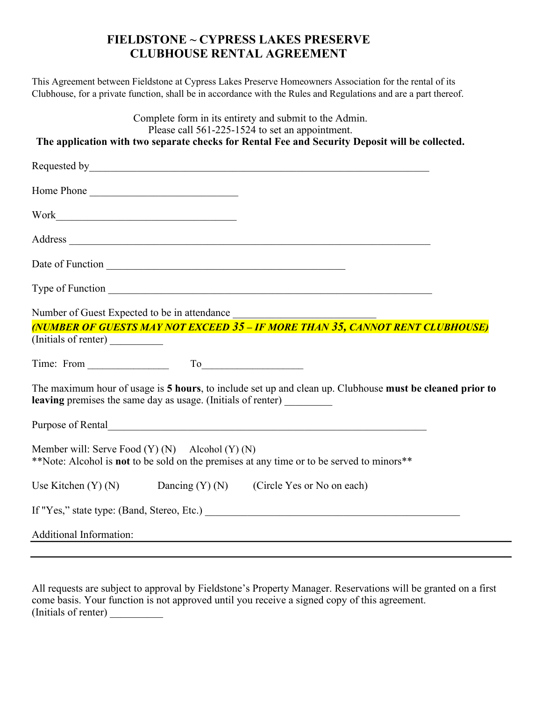## **FIELDSTONE ~ CYPRESS LAKES PRESERVE CLUBHOUSE RENTAL AGREEMENT**

This Agreement between Fieldstone at Cypress Lakes Preserve Homeowners Association for the rental of its Clubhouse, for a private function, shall be in accordance with the Rules and Regulations and are a part thereof.

| Complete form in its entirety and submit to the Admin.<br>Please call 561-225-1524 to set an appointment.                                                                                                                           |
|-------------------------------------------------------------------------------------------------------------------------------------------------------------------------------------------------------------------------------------|
| The application with two separate checks for Rental Fee and Security Deposit will be collected.                                                                                                                                     |
| Requested by San American Communication of the Communication of the Communication of the Communication of the Communication of the Communication of the Communication of the Communication of the Communication of the Communi      |
| Home Phone                                                                                                                                                                                                                          |
|                                                                                                                                                                                                                                     |
|                                                                                                                                                                                                                                     |
|                                                                                                                                                                                                                                     |
|                                                                                                                                                                                                                                     |
| Number of Guest Expected to be in attendance                                                                                                                                                                                        |
| (NUMBER OF GUESTS MAY NOT EXCEED 35 - IF MORE THAN 35, CANNOT RENT CLUBHOUSE)                                                                                                                                                       |
|                                                                                                                                                                                                                                     |
| Time: From $\qquad \qquad \qquad$ To                                                                                                                                                                                                |
| The maximum hour of usage is 5 hours, to include set up and clean up. Clubhouse must be cleaned prior to<br>leaving premises the same day as usage. (Initials of renter) ________                                                   |
| Purpose of Rental <u>Contact Communication</u> and the Purpose of Rental Contact Contact Contact Contact Contact Contact Contact Contact Contact Contact Contact Contact Contact Contact Contact Contact Contact Contact Contact Co |
| Member will: Serve Food $(Y)$ $(N)$ Alcohol $(Y)$ $(N)$<br>**Note: Alcohol is not to be sold on the premises at any time or to be served to minors**                                                                                |
| Use Kitchen $(Y)$ (N) Dancing $(Y)$ (N) (Circle Yes or No on each)                                                                                                                                                                  |
|                                                                                                                                                                                                                                     |
| Additional Information:                                                                                                                                                                                                             |
|                                                                                                                                                                                                                                     |

All requests are subject to approval by Fieldstone's Property Manager. Reservations will be granted on a first come basis. Your function is not approved until you receive a signed copy of this agreement. (Initials of renter)